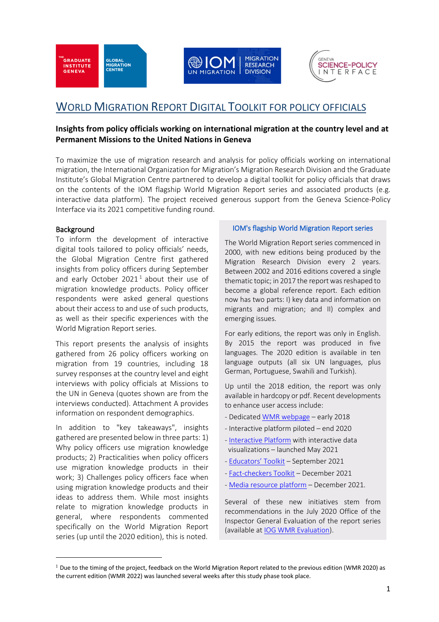





# WORLD MIGRATION REPORT DIGITAL TOOLKIT FOR POLICY OFFICIALS

## **Insights from policy officials working on international migration at the country level and at Permanent Missions to the United Nations in Geneva**

To maximize the use of migration research and analysis for policy officials working on international migration, the International Organization for Migration's Migration Research Division and the Graduate Institute's Global Migration Centre partnered to develop a digital toolkit for policy officials that draws on the contents of the IOM flagship World Migration Report series and associated products (e.g. interactive data platform). The project received generous support from the Geneva Science-Policy Interface via its 2021 competitive funding round.

#### **Background**

To inform the development of interactive digital tools tailored to policy officials' needs, the Global Migration Centre first gathered insights from policy officers during September and early October  $2021<sup>1</sup>$  about their use of migration knowledge products. Policy officer respondents were asked general questions about their access to and use of such products, as well as their specific experiences with the World Migration Report series.

This report presents the analysis of insights gathered from 26 policy officers working on migration from 19 countries, including 18 survey responses at the country level and eight interviews with policy officials at Missions to the UN in Geneva (quotes shown are from the interviews conducted). Attachment A provides information on respondent demographics.

In addition to "key takeaways", insights gathered are presented below in three parts: 1) Why policy officers use migration knowledge products; 2) Practicalities when policy officers use migration knowledge products in their work; 3) Challenges policy officers face when using migration knowledge products and their ideas to address them. While most insights relate to migration knowledge products in general, where respondents commented specifically on the World Migration Report series (up until the 2020 edition), this is noted.

#### IOM's flagship World Migration Report series

The World Migration Report series commenced in 2000, with new editions being produced by the Migration Research Division every 2 years. Between 2002 and 2016 editions covered a single thematic topic; in 2017 the report was reshaped to become a global reference report. Each edition now has two parts: I) key data and information on migrants and migration; and II) complex and emerging issues.

For early editions, the report was only in English. By 2015 the report was produced in five languages. The 2020 edition is available in ten language outputs (all six UN languages, plus German, Portuguese, Swahili and Turkish).

Up until the 2018 edition, the report was only available in hardcopy or pdf. Recent developments to enhance user access include:

- Dedicated WMR webpage early 2018
- Interactive platform piloted end 2020
- Interactive Platform with interactive data visualizations – launched May 2021
- Educators' Toolkit September 2021
- Fact-checkers Toolkit December 2021
- Media resource platform December 2021.

Several of these new initiatives stem from recommendations in the July 2020 Office of the Inspector General Evaluation of the report series (available at IOG WMR Evaluation).

<sup>&</sup>lt;sup>1</sup> Due to the timing of the project, feedback on the World Migration Report related to the previous edition (WMR 2020) as the current edition (WMR 2022) was launched several weeks after this study phase took place.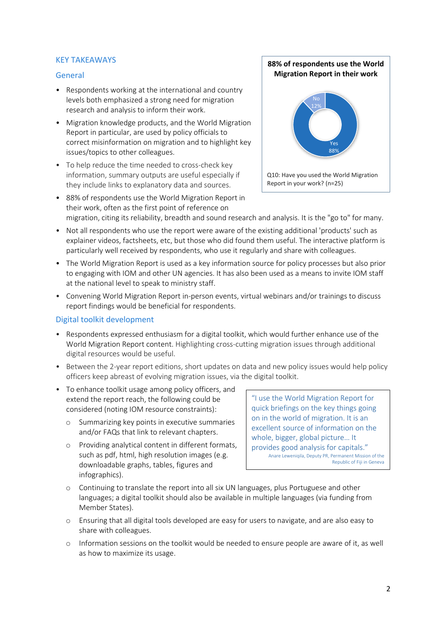#### KEY TAKEAWAYS

#### General

- Respondents working at the international and country levels both emphasized a strong need for migration research and analysis to inform their work.
- Migration knowledge products, and the World Migration Report in particular, are used by policy officials to correct misinformation on migration and to highlight key issues/topics to other colleagues.
- To help reduce the time needed to cross-check key information, summary outputs are useful especially if they include links to explanatory data and sources.
- 88% of respondents use the World Migration Report in their work, often as the first point of reference on



migration, citing its reliability, breadth and sound research and analysis. It is the "go to" for many.

- Not all respondents who use the report were aware of the existing additional 'products' such as explainer videos, factsheets, etc, but those who did found them useful. The interactive platform is particularly well received by respondents, who use it regularly and share with colleagues.
- The World Migration Report is used as a key information source for policy processes but also prior to engaging with IOM and other UN agencies. It has also been used as a means to invite IOM staff at the national level to speak to ministry staff.
- Convening World Migration Report in-person events, virtual webinars and/or trainings to discuss report findings would be beneficial for respondents.

#### Digital toolkit development

- Respondents expressed enthusiasm for a digital toolkit, which would further enhance use of the World Migration Report content. Highlighting cross-cutting migration issues through additional digital resources would be useful.
- Between the 2-year report editions, short updates on data and new policy issues would help policy officers keep abreast of evolving migration issues, via the digital toolkit.
- To enhance toolkit usage among policy officers, and extend the report reach, the following could be considered (noting IOM resource constraints):
	- o Summarizing key points in executive summaries and/or FAQs that link to relevant chapters.
	- o Providing analytical content in different formats, such as pdf, html, high resolution images (e.g. downloadable graphs, tables, figures and infographics).

"I use the World Migration Report for quick briefings on the key things going on in the world of migration. It is an excellent source of information on the whole, bigger, global picture… It provides good analysis for capitals." Anare Leweniqila, Deputy PR, Permanent Mission of the Republic of Fiji in Geneva

- o Continuing to translate the report into all six UN languages, plus Portuguese and other languages; a digital toolkit should also be available in multiple languages (via funding from Member States).
- o Ensuring that all digital tools developed are easy for users to navigate, and are also easy to share with colleagues.
- o Information sessions on the toolkit would be needed to ensure people are aware of it, as well as how to maximize its usage.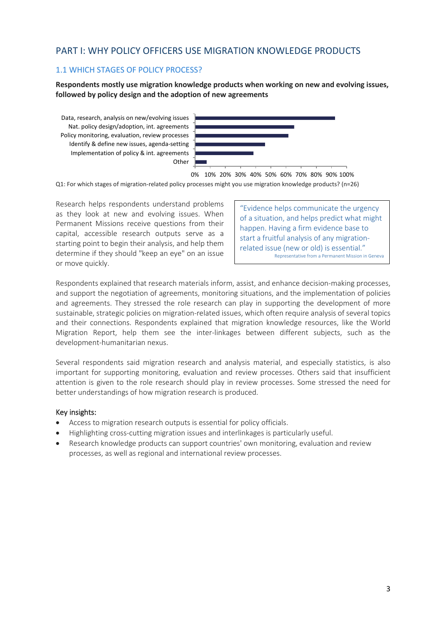## PART I: WHY POLICY OFFICERS USE MIGRATION KNOWLEDGE PRODUCTS

## 1.1 WHICH STAGES OF POLICY PROCESS?

**Respondents mostly use migration knowledge products when working on new and evolving issues, followed by policy design and the adoption of new agreements**

Other Implementation of policy & int. agreements Identify & define new issues, agenda-setting Policy monitoring, evaluation, review processes Nat. policy design/adoption, int. agreements Data, research, analysis on new/evolving issues



0% 10% 20% 30% 40% 50% 60% 70% 80% 90% 100%

Q1: For which stages of migration-related policy processes might you use migration knowledge products? (n=26)

Research helps respondents understand problems as they look at new and evolving issues. When Permanent Missions receive questions from their capital, accessible research outputs serve as a starting point to begin their analysis, and help them determine if they should "keep an eye" on an issue or move quickly.

"Evidence helps communicate the urgency of a situation, and helps predict what might happen. Having a firm evidence base to start a fruitful analysis of any migrationrelated issue (new or old) is essential." Representative from a Permanent Mission in Geneva

Respondents explained that research materials inform, assist, and enhance decision-making processes, and support the negotiation of agreements, monitoring situations, and the implementation of policies and agreements. They stressed the role research can play in supporting the development of more sustainable, strategic policies on migration-related issues, which often require analysis of several topics and their connections. Respondents explained that migration knowledge resources, like the World Migration Report, help them see the inter-linkages between different subjects, such as the development-humanitarian nexus.

Several respondents said migration research and analysis material, and especially statistics, is also important for supporting monitoring, evaluation and review processes. Others said that insufficient attention is given to the role research should play in review processes. Some stressed the need for better understandings of how migration research is produced.

#### Key insights:

- Access to migration research outputs is essential for policy officials.
- Highlighting cross-cutting migration issues and interlinkages is particularly useful.
- Research knowledge products can support countries' own monitoring, evaluation and review processes, as well as regional and international review processes.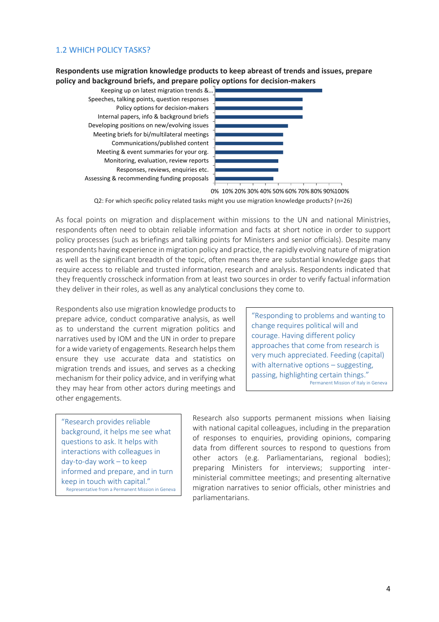#### 1.2 WHICH POLICY TASKS?

**Respondents use migration knowledge products to keep abreast of trends and issues, prepare policy and background briefs, and prepare policy options for decision-makers**

Assessing & recommending funding proposals Responses, reviews, enquiries etc. Monitoring, evaluation, review reports Meeting & event summaries for your org. Communications/published content Meeting briefs for bi/multilateral meetings Developing positions on new/evolving issues Internal papers, info & background briefs Policy options for decision-makers Speeches, talking points, question responses Keeping up on latest migration trends &…



<sup>0%</sup> 10% 20% 30% 40% 50% 60% 70% 80% 90%100%

Q2: For which specific policy related tasks might you use migration knowledge products? (n=26)

As focal points on migration and displacement within missions to the UN and national Ministries, respondents often need to obtain reliable information and facts at short notice in order to support policy processes (such as briefings and talking points for Ministers and senior officials). Despite many respondents having experience in migration policy and practice, the rapidly evolving nature of migration as well as the significant breadth of the topic, often means there are substantial knowledge gaps that require access to reliable and trusted information, research and analysis. Respondents indicated that they frequently crosscheck information from at least two sources in order to verify factual information they deliver in their roles, as well as any analytical conclusions they come to.

Respondents also use migration knowledge products to prepare advice, conduct comparative analysis, as well as to understand the current migration politics and narratives used by IOM and the UN in order to prepare for a wide variety of engagements. Research helps them ensure they use accurate data and statistics on migration trends and issues, and serves as a checking mechanism for their policy advice, and in verifying what they may hear from other actors during meetings and other engagements.

"Responding to problems and wanting to change requires political will and courage. Having different policy approaches that come from research is very much appreciated. Feeding (capital) with alternative options – suggesting, passing, highlighting certain things." Permanent Mission of Italy in Geneva

"Research provides reliable background, it helps me see what questions to ask. It helps with interactions with colleagues in day-to-day work – to keep informed and prepare, and in turn keep in touch with capital." Representative from a Permanent Mission in Geneva

Research also supports permanent missions when liaising with national capital colleagues, including in the preparation of responses to enquiries, providing opinions, comparing data from different sources to respond to questions from other actors (e.g. Parliamentarians, regional bodies); preparing Ministers for interviews; supporting interministerial committee meetings; and presenting alternative migration narratives to senior officials, other ministries and parliamentarians.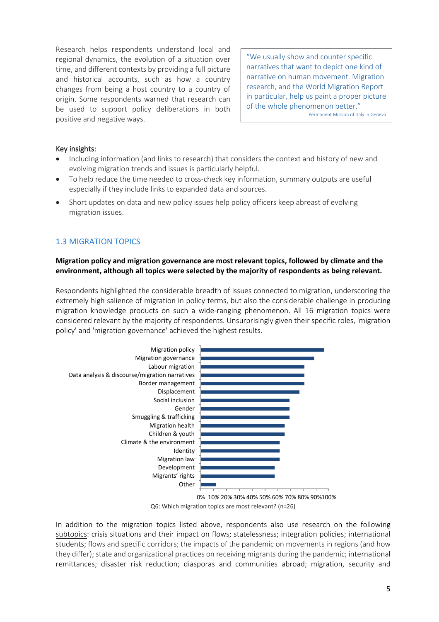Research helps respondents understand local and regional dynamics, the evolution of a situation over time, and different contexts by providing a full picture and historical accounts, such as how a country changes from being a host country to a country of origin. Some respondents warned that research can be used to support policy deliberations in both positive and negative ways.

"We usually show and counter specific narratives that want to depict one kind of narrative on human movement. Migration research, and the World Migration Report in particular, help us paint a proper picture of the whole phenomenon better." Permanent Mission of Italy in Geneva

#### Key insights:

- Including information (and links to research) that considers the context and history of new and evolving migration trends and issues is particularly helpful.
- To help reduce the time needed to cross-check key information, summary outputs are useful especially if they include links to expanded data and sources.
- Short updates on data and new policy issues help policy officers keep abreast of evolving migration issues.

## 1.3 MIGRATION TOPICS

#### **Migration policy and migration governance are most relevant topics, followed by climate and the environment, although all topics were selected by the majority of respondents as being relevant.**

Respondents highlighted the considerable breadth of issues connected to migration, underscoring the extremely high salience of migration in policy terms, but also the considerable challenge in producing migration knowledge products on such a wide-ranging phenomenon. All 16 migration topics were considered relevant by the majority of respondents. Unsurprisingly given their specific roles, 'migration policy' and 'migration governance' achieved the highest results.



Q6: Which migration topics are most relevant? (n=26)

In addition to the migration topics listed above, respondents also use research on the following subtopics: crisis situations and their impact on flows; statelessness; integration policies; international students; flows and specific corridors; the impacts of the pandemic on movements in regions (and how they differ); state and organizational practices on receiving migrants during the pandemic; international remittances; disaster risk reduction; diasporas and communities abroad; migration, security and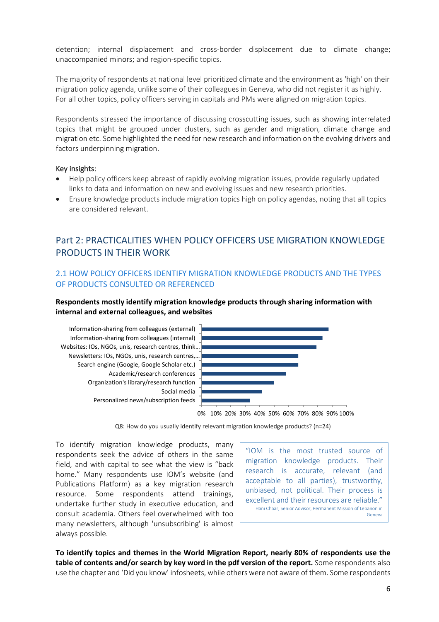detention; internal displacement and cross-border displacement due to climate change; unaccompanied minors; and region-specific topics.

The majority of respondents at national level prioritized climate and the environment as 'high' on their migration policy agenda, unlike some of their colleagues in Geneva, who did not register it as highly. For all other topics, policy officers serving in capitals and PMs were aligned on migration topics.

Respondents stressed the importance of discussing crosscutting issues, such as showing interrelated topics that might be grouped under clusters, such as gender and migration, climate change and migration etc. Some highlighted the need for new research and information on the evolving drivers and factors underpinning migration.

#### Key insights:

- Help policy officers keep abreast of rapidly evolving migration issues, provide regularly updated links to data and information on new and evolving issues and new research priorities.
- Ensure knowledge products include migration topics high on policy agendas, noting that all topics are considered relevant.

## Part 2: PRACTICALITIES WHEN POLICY OFFICERS USE MIGRATION KNOWLEDGE PRODUCTS IN THEIR WORK

## 2.1 HOW POLICY OFFICERS IDENTIFY MIGRATION KNOWLEDGE PRODUCTS AND THE TYPES OF PRODUCTS CONSULTED OR REFERENCED

#### **Respondents mostly identify migration knowledge products through sharing information with internal and external colleagues, and websites**



Q8: How do you usually identify relevant migration knowledge products? (n=24)

To identify migration knowledge products, many respondents seek the advice of others in the same field, and with capital to see what the view is "back home." Many respondents use IOM's website (and Publications Platform) as a key migration research resource. Some respondents attend trainings, undertake further study in executive education, and consult academia. Others feel overwhelmed with too many newsletters, although 'unsubscribing' is almost always possible.

"IOM is the most trusted source of migration knowledge products. Their research is accurate, relevant (and acceptable to all parties), trustworthy, unbiased, not political. Their process is excellent and their resources are reliable." Hani Chaar, Senior Advisor, Permanent Mission of Lebanon in Geneva

**To identify topics and themes in the World Migration Report, nearly 80% of respondents use the table of contents and/or search by key word in the pdf version of the report.** Some respondents also use the chapter and 'Did you know' infosheets, while others were not aware of them. Some respondents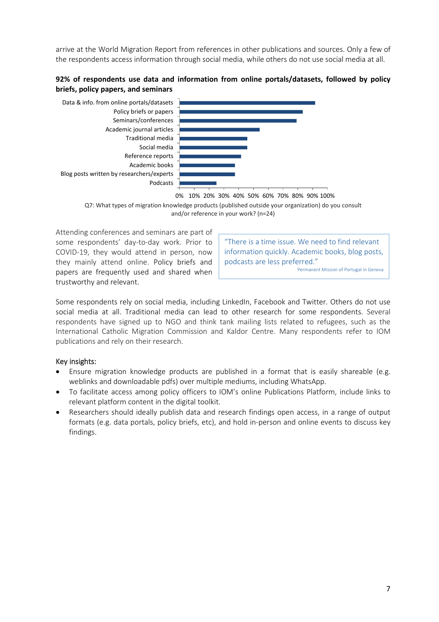arrive at the World Migration Report from references in other publications and sources. Only a few of the respondents access information through social media, while others do not use social media at all.

#### **92% of respondents use data and information from online portals/datasets, followed by policy briefs, policy papers, and seminars**



0% 10% 20% 30% 40% 50% 60% 70% 80% 90% 100%



Attending conferences and seminars are part of some respondents' day-to-day work. Prior to COVID-19, they would attend in person, now they mainly attend online. Policy briefs and papers are frequently used and shared when trustworthy and relevant.

"There is a time issue. We need to find relevant information quickly. Academic books, blog posts, podcasts are less preferred." Permanent Mission of Portugal in Geneva

Some respondents rely on social media, including LinkedIn, Facebook and Twitter. Others do not use social media at all. Traditional media can lead to other research for some respondents. Several respondents have signed up to NGO and think tank mailing lists related to refugees, such as the International Catholic Migration Commission and Kaldor Centre. Many respondents refer to IOM publications and rely on their research.

#### Key insights:

- Ensure migration knowledge products are published in a format that is easily shareable (e.g. weblinks and downloadable pdfs) over multiple mediums, including WhatsApp.
- To facilitate access among policy officers to IOM's online Publications Platform, include links to relevant platform content in the digital toolkit.
- Researchers should ideally publish data and research findings open access, in a range of output formats (e.g. data portals, policy briefs, etc), and hold in-person and online events to discuss key findings.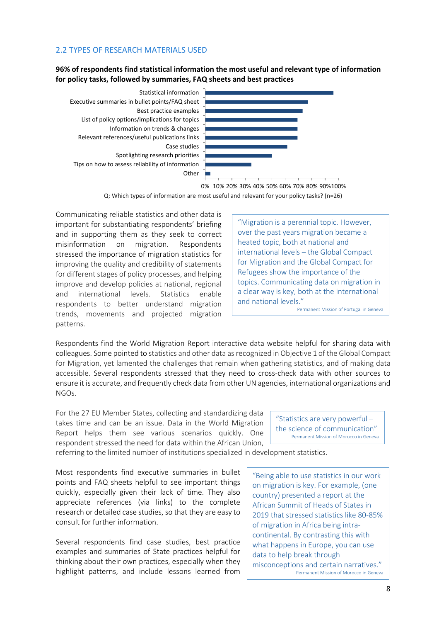#### 2.2 TYPES OF RESEARCH MATERIALS USED

**96% of respondents find statistical information the most useful and relevant type of information for policy tasks, followed by summaries, FAQ sheets and best practices**





0% 10% 20% 30% 40% 50% 60% 70% 80% 90%100%

Q: Which types of information are most useful and relevant for your policy tasks? (n=26)

Communicating reliable statistics and other data is important for substantiating respondents' briefing and in supporting them as they seek to correct misinformation on migration. Respondents stressed the importance of migration statistics for improving the quality and credibility of statements for different stages of policy processes, and helping improve and develop policies at national, regional and international levels. Statistics enable respondents to better understand migration trends, movements and projected migration patterns.

"Migration is a perennial topic. However, over the past years migration became a heated topic, both at national and international levels – the Global Compact for Migration and the Global Compact for Refugees show the importance of the topics. Communicating data on migration in a clear way is key, both at the international and national levels."

Permanent Mission of Portugal in Geneva

Respondents find the World Migration Report interactive data website helpful for sharing data with colleagues. Some pointed to statistics and other data asrecognized in Objective 1 of the Global Compact for Migration, yet lamented the challenges that remain when gathering statistics, and of making data accessible. Several respondents stressed that they need to cross-check data with other sources to ensure it is accurate, and frequently check data from other UN agencies, international organizations and NGOs.

For the 27 EU Member States, collecting and standardizing data takes time and can be an issue. Data in the World Migration Report helps them see various scenarios quickly. One respondent stressed the need for data within the African Union,

"Statistics are very powerful – the science of communication" Permanent Mission of Morocco in Geneva

referring to the limited number of institutions specialized in development statistics.

Most respondents find executive summaries in bullet points and FAQ sheets helpful to see important things quickly, especially given their lack of time. They also appreciate references (via links) to the complete research or detailed case studies, so that they are easy to consult for further information.

Several respondents find case studies, best practice examples and summaries of State practices helpful for thinking about their own practices, especially when they highlight patterns, and include lessons learned from

"Being able to use statistics in our work on migration is key. For example, (one country) presented a report at the African Summit of Heads of States in 2019 that stressed statistics like 80-85% of migration in Africa being intracontinental. By contrasting this with what happens in Europe, you can use data to help break through misconceptions and certain narratives." Permanent Mission of Morocco in Geneva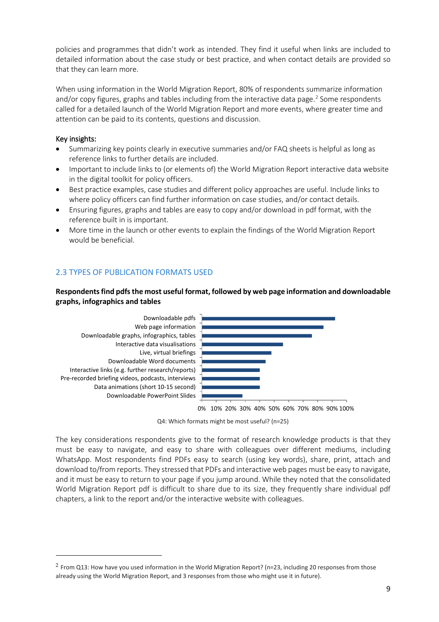policies and programmes that didn't work as intended. They find it useful when links are included to detailed information about the case study or best practice, and when contact details are provided so that they can learn more.

When using information in the World Migration Report, 80% of respondents summarize information and/or copy figures, graphs and tables including from the interactive data page.<sup>2</sup> Some respondents called for a detailed launch of the World Migration Report and more events, where greater time and attention can be paid to its contents, questions and discussion.

#### Key insights:

- Summarizing key points clearly in executive summaries and/or FAQ sheets is helpful as long as reference links to further details are included.
- Important to include links to (or elements of) the World Migration Report interactive data website in the digital toolkit for policy officers.
- Best practice examples, case studies and different policy approaches are useful. Include links to where policy officers can find further information on case studies, and/or contact details.
- Ensuring figures, graphs and tables are easy to copy and/or download in pdf format, with the reference built in is important.
- More time in the launch or other events to explain the findings of the World Migration Report would be beneficial.

### 2.3 TYPES OF PUBLICATION FORMATS USED

**Respondents find pdfs the most useful format, followed by web page information and downloadable graphs, infographics and tables**



Q4: Which formats might be most useful? (n=25)

The key considerations respondents give to the format of research knowledge products is that they must be easy to navigate, and easy to share with colleagues over different mediums, including WhatsApp. Most respondents find PDFs easy to search (using key words), share, print, attach and download to/from reports. They stressed that PDFs and interactive web pages must be easy to navigate, and it must be easy to return to your page if you jump around. While they noted that the consolidated World Migration Report pdf is difficult to share due to its size, they frequently share individual pdf chapters, a link to the report and/or the interactive website with colleagues.

<sup>&</sup>lt;sup>2</sup> From Q13: How have you used information in the World Migration Report? (n=23, including 20 responses from those already using the World Migration Report, and 3 responses from those who might use it in future).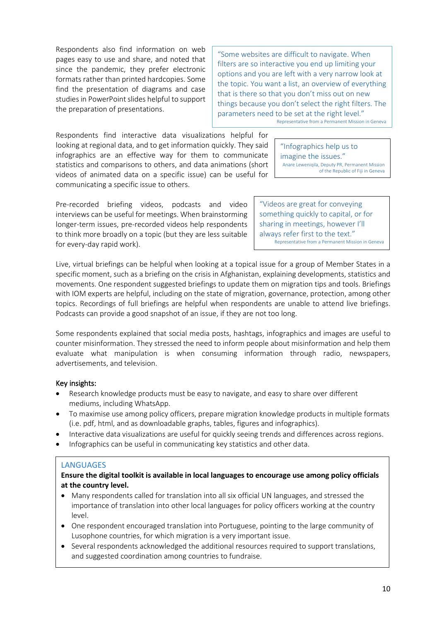Respondents also find information on web pages easy to use and share, and noted that since the pandemic, they prefer electronic formats rather than printed hardcopies. Some find the presentation of diagrams and case studies in PowerPoint slides helpful to support the preparation of presentations.

"Some websites are difficult to navigate. When filters are so interactive you end up limiting your options and you are left with a very narrow look at the topic. You want a list, an overview of everything that is there so that you don't miss out on new things because you don't select the right filters. The parameters need to be set at the right level."

Representative from a Permanent Mission in Geneva

Respondents find interactive data visualizations helpful for looking at regional data, and to get information quickly. They said infographics are an effective way for them to communicate statistics and comparisons to others, and data animations (short videos of animated data on a specific issue) can be useful for communicating a specific issue to others.

Pre-recorded briefing videos, podcasts and video interviews can be useful for meetings. When brainstorming longer-term issues, pre-recorded videos help respondents to think more broadly on a topic (but they are less suitable for every-day rapid work).

"Infographics help us to imagine the issues." Anare Leweniqila, Deputy PR, Permanent Mission of the Republic of Fiji in Geneva

"Videos are great for conveying something quickly to capital, or for sharing in meetings, however I'll always refer first to the text." Representative from a Permanent Mission in Geneva

Live, virtual briefings can be helpful when looking at a topical issue for a group of Member States in a specific moment, such as a briefing on the crisis in Afghanistan, explaining developments, statistics and movements. One respondent suggested briefings to update them on migration tips and tools. Briefings with IOM experts are helpful, including on the state of migration, governance, protection, among other topics. Recordings of full briefings are helpful when respondents are unable to attend live briefings. Podcasts can provide a good snapshot of an issue, if they are not too long.

Some respondents explained that social media posts, hashtags, infographics and images are useful to counter misinformation. They stressed the need to inform people about misinformation and help them evaluate what manipulation is when consuming information through radio, newspapers, advertisements, and television.

#### Key insights:

- Research knowledge products must be easy to navigate, and easy to share over different mediums, including WhatsApp.
- To maximise use among policy officers, prepare migration knowledge products in multiple formats (i.e. pdf, html, and as downloadable graphs, tables, figures and infographics).
- Interactive data visualizations are useful for quickly seeing trends and differences across regions.
- Infographics can be useful in communicating key statistics and other data.

#### **LANGUAGES**

#### **Ensure the digital toolkit is available in local languages to encourage use among policy officials at the country level.**

- Many respondents called for translation into all six official UN languages, and stressed the importance of translation into other local languages for policy officers working at the country level.
- One respondent encouraged translation into Portuguese, pointing to the large community of Lusophone countries, for which migration is a very important issue.
- Several respondents acknowledged the additional resources required to support translations, and suggested coordination among countries to fundraise.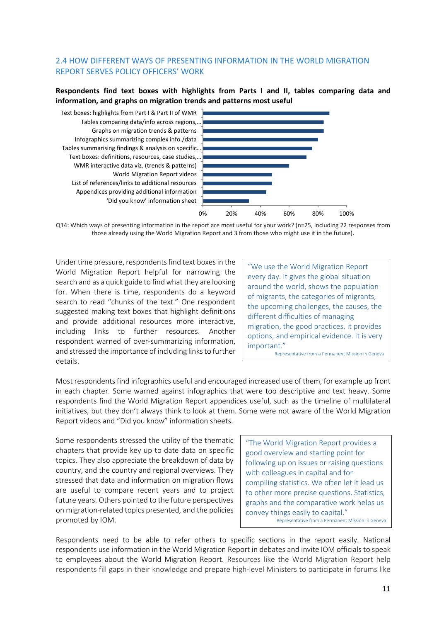### 2.4 HOW DIFFERENT WAYS OF PRESENTING INFORMATION IN THE WORLD MIGRATION REPORT SERVES POLICY OFFICERS' WORK

**Respondents find text boxes with highlights from Parts I and II, tables comparing data and information, and graphs on migration trends and patterns most useful**



Q14: Which ways of presenting information in the report are most useful for your work? (n=25, including 22 responses from those already using the World Migration Report and 3 from those who might use it in the future).

Under time pressure, respondents find text boxes in the World Migration Report helpful for narrowing the search and as a quick guide to find what they are looking for. When there is time, respondents do a keyword search to read "chunks of the text." One respondent suggested making text boxes that highlight definitions and provide additional resources more interactive, including links to further resources. Another respondent warned of over-summarizing information, and stressed the importance of including links to further details.

"We use the World Migration Report every day. It gives the global situation around the world, shows the population of migrants, the categories of migrants, the upcoming challenges, the causes, the different difficulties of managing migration, the good practices, it provides options, and empirical evidence. It is very important."

Representative from a Permanent Mission in Geneva

Most respondents find infographics useful and encouraged increased use of them, for example up front in each chapter. Some warned against infographics that were too descriptive and text heavy. Some respondents find the World Migration Report appendices useful, such as the timeline of multilateral initiatives, but they don't always think to look at them. Some were not aware of the World Migration Report videos and "Did you know" information sheets.

Some respondents stressed the utility of the thematic chapters that provide key up to date data on specific topics. They also appreciate the breakdown of data by country, and the country and regional overviews. They stressed that data and information on migration flows are useful to compare recent years and to project future years. Others pointed to the future perspectives on migration-related topics presented, and the policies promoted by IOM.

"The World Migration Report provides a good overview and starting point for following up on issues or raising questions with colleagues in capital and for compiling statistics. We often let it lead us to other more precise questions. Statistics, graphs and the comparative work helps us convey things easily to capital." Representative from a Permanent Mission in Geneva

Respondents need to be able to refer others to specific sections in the report easily. National respondents use information in the World Migration Report in debates and invite IOM officials to speak to employees about the World Migration Report. Resources like the World Migration Report help respondents fill gaps in their knowledge and prepare high-level Ministers to participate in forums like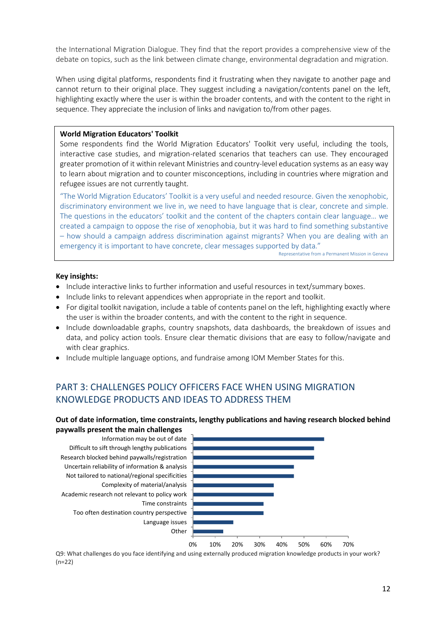the International Migration Dialogue. They find that the report provides a comprehensive view of the debate on topics, such as the link between climate change, environmental degradation and migration.

When using digital platforms, respondents find it frustrating when they navigate to another page and cannot return to their original place. They suggest including a navigation/contents panel on the left, highlighting exactly where the user is within the broader contents, and with the content to the right in sequence. They appreciate the inclusion of links and navigation to/from other pages.

#### **World Migration Educators' Toolkit**

Some respondents find the World Migration Educators' Toolkit very useful, including the tools, interactive case studies, and migration-related scenarios that teachers can use. They encouraged greater promotion of it within relevant Ministries and country-level education systems as an easy way to learn about migration and to counter misconceptions, including in countries where migration and refugee issues are not currently taught.

"The World Migration Educators' Toolkit is a very useful and needed resource. Given the xenophobic, discriminatory environment we live in, we need to have language that is clear, concrete and simple. The questions in the educators' toolkit and the content of the chapters contain clear language… we created a campaign to oppose the rise of xenophobia, but it was hard to find something substantive – how should a campaign address discrimination against migrants? When you are dealing with an emergency it is important to have concrete, clear messages supported by data."

Representative from a Permanent Mission in Geneva

#### **Key insights:**

- Include interactive links to further information and useful resources in text/summary boxes.
- Include links to relevant appendices when appropriate in the report and toolkit.
- For digital toolkit navigation, include a table of contents panel on the left, highlighting exactly where the user is within the broader contents, and with the content to the right in sequence.
- Include downloadable graphs, country snapshots, data dashboards, the breakdown of issues and data, and policy action tools. Ensure clear thematic divisions that are easy to follow/navigate and with clear graphics.
- Include multiple language options, and fundraise among IOM Member States for this.

## PART 3: CHALLENGES POLICY OFFICERS FACE WHEN USING MIGRATION KNOWLEDGE PRODUCTS AND IDEAS TO ADDRESS THEM

#### **Out of date information, time constraints, lengthy publications and having research blocked behind paywalls present the main challenges**



Q9: What challenges do you face identifying and using externally produced migration knowledge products in your work? (n=22)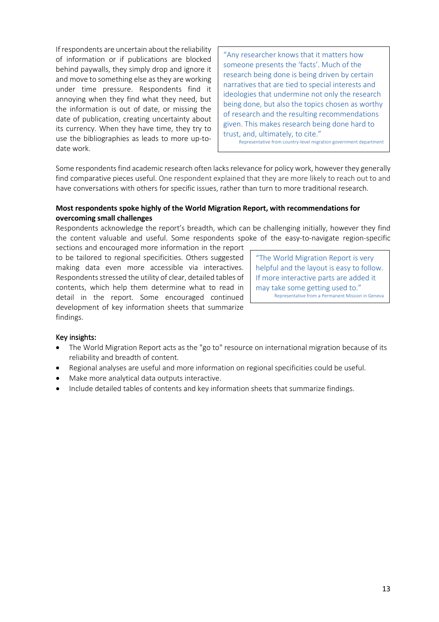If respondents are uncertain about the reliability of information or if publications are blocked behind paywalls, they simply drop and ignore it and move to something else as they are working under time pressure. Respondents find it annoying when they find what they need, but the information is out of date, or missing the date of publication, creating uncertainty about its currency. When they have time, they try to use the bibliographies as leads to more up-todate work.

"Any researcher knows that it matters how someone presents the 'facts'. Much of the research being done is being driven by certain narratives that are tied to special interests and ideologies that undermine not only the research being done, but also the topics chosen as worthy of research and the resulting recommendations given. This makes research being done hard to trust, and, ultimately, to cite."

Representative from country-level migration government department

Some respondents find academic research often lacks relevance for policy work, however they generally find comparative pieces useful. One respondent explained that they are more likely to reach out to and have conversations with others for specific issues, rather than turn to more traditional research.

#### **Most respondents spoke highly of the World Migration Report, with recommendations for overcoming small challenges**

Respondents acknowledge the report's breadth, which can be challenging initially, however they find the content valuable and useful. Some respondents spoke of the easy-to-navigate region-specific

sections and encouraged more information in the report to be tailored to regional specificities. Others suggested making data even more accessible via interactives. Respondents stressed the utility of clear, detailed tables of contents, which help them determine what to read in detail in the report. Some encouraged continued development of key information sheets that summarize findings.

"The World Migration Report is very helpful and the layout is easy to follow. If more interactive parts are added it may take some getting used to." Representative from a Permanent Mission in Geneva

#### Key insights:

- The World Migration Report acts as the "go to" resource on international migration because of its reliability and breadth of content.
- Regional analyses are useful and more information on regional specificities could be useful.
- Make more analytical data outputs interactive.
- Include detailed tables of contents and key information sheets that summarize findings.